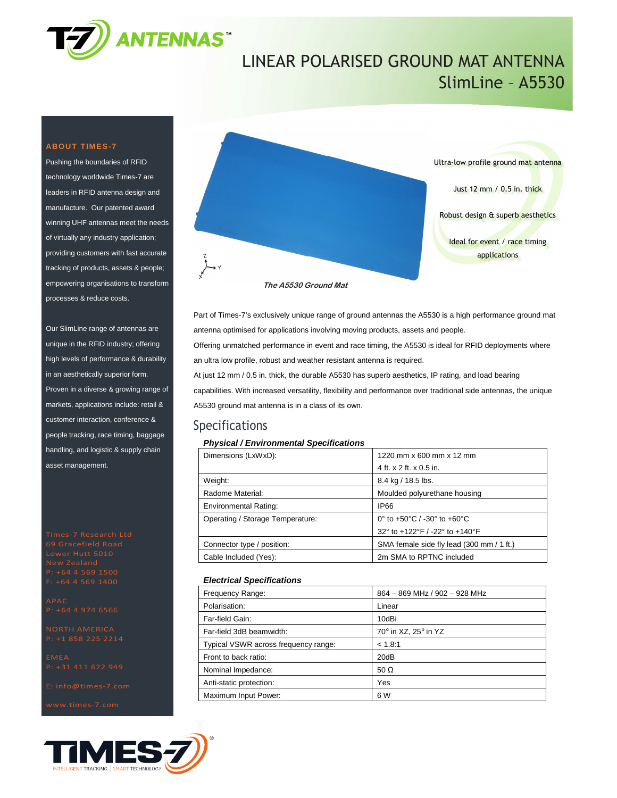

## LINEAR POLARISED GROUND MAT ANTENNA SlimLine – A5530

#### **ABOUT TIMES-7**

Pushing the boundaries of RFID technology worldwide Times-7 are leaders in RFID antenna design and manufacture. Our patented award winning UHF antennas meet the needs of virtually any industry application; providing customers with fast accurate tracking of products, assets & people; empowering organisations to transform processes & reduce costs.

Our SlimLine range of antennas are unique in the RFID industry; offering high levels of performance & durability in an aesthetically superior form. Proven in a diverse & growing range of markets, applications include: retail & customer interaction, conference & people tracking, race timing, baggage handling, and logistic & supply chain asset management.





Part of Times-7's exclusively unique range of ground antennas the A5530 is a high performance ground mat antenna optimised for applications involving moving products, assets and people. Offering unmatched performance in event and race timing, the A5530 is ideal for RFID deployments where an ultra low profile, robust and weather resistant antenna is required. At just 12 mm / 0.5 in. thick, the durable A5530 has superb aesthetics, IP rating, and load bearing capabilities. With increased versatility, flexibility and performance over traditional side antennas, the unique

A5530 ground mat antenna is in a class of its own.

### Specifications

#### **Physical / Environmental Specifications**

| Dimensions (LxWxD):              | 1220 mm x 600 mm x 12 mm                  |  |
|----------------------------------|-------------------------------------------|--|
|                                  | 4 ft. x 2 ft. x 0.5 in.                   |  |
| Weight:                          | 8.4 kg / 18.5 lbs.                        |  |
| Radome Material:                 | Moulded polyurethane housing              |  |
| <b>Environmental Rating:</b>     | <b>IP66</b>                               |  |
| Operating / Storage Temperature: | 0° to +50°C / -30° to +60°C               |  |
|                                  | 32° to +122°F / -22° to +140°F            |  |
| Connector type / position:       | SMA female side fly lead (300 mm / 1 ft.) |  |
| Cable Included (Yes):            | 2m SMA to RPTNC included                  |  |
|                                  |                                           |  |

#### **Electrical Specifications**

| Frequency Range:                     | 864 - 869 MHz / 902 - 928 MHz |
|--------------------------------------|-------------------------------|
| Polarisation:                        | Linear                        |
| Far-field Gain:                      | 10dBi                         |
| Far-field 3dB beamwidth:             | 70° in XZ, 25° in YZ          |
| Typical VSWR across frequency range: | < 1.8:1                       |
| Front to back ratio:                 | 20dB                          |
| Nominal Impedance:                   | 50 $\Omega$                   |
| Anti-static protection:              | Yes                           |
| Maximum Input Power:                 | 6 W                           |